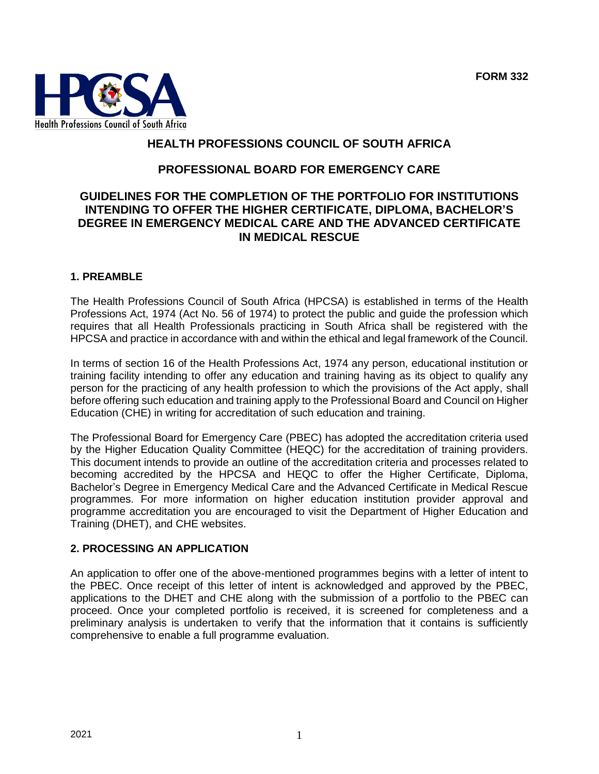

# **HEALTH PROFESSIONS COUNCIL OF SOUTH AFRICA**

# **PROFESSIONAL BOARD FOR EMERGENCY CARE**

### **GUIDELINES FOR THE COMPLETION OF THE PORTFOLIO FOR INSTITUTIONS INTENDING TO OFFER THE HIGHER CERTIFICATE, DIPLOMA, BACHELOR'S DEGREE IN EMERGENCY MEDICAL CARE AND THE ADVANCED CERTIFICATE IN MEDICAL RESCUE**

### **1. PREAMBLE**

The Health Professions Council of South Africa (HPCSA) is established in terms of the Health Professions Act, 1974 (Act No. 56 of 1974) to protect the public and guide the profession which requires that all Health Professionals practicing in South Africa shall be registered with the HPCSA and practice in accordance with and within the ethical and legal framework of the Council.

In terms of section 16 of the Health Professions Act, 1974 any person, educational institution or training facility intending to offer any education and training having as its object to qualify any person for the practicing of any health profession to which the provisions of the Act apply, shall before offering such education and training apply to the Professional Board and Council on Higher Education (CHE) in writing for accreditation of such education and training.

The Professional Board for Emergency Care (PBEC) has adopted the accreditation criteria used by the Higher Education Quality Committee (HEQC) for the accreditation of training providers. This document intends to provide an outline of the accreditation criteria and processes related to becoming accredited by the HPCSA and HEQC to offer the Higher Certificate, Diploma, Bachelor's Degree in Emergency Medical Care and the Advanced Certificate in Medical Rescue programmes. For more information on higher education institution provider approval and programme accreditation you are encouraged to visit the Department of Higher Education and Training (DHET), and CHE websites.

#### **2. PROCESSING AN APPLICATION**

An application to offer one of the above-mentioned programmes begins with a letter of intent to the PBEC. Once receipt of this letter of intent is acknowledged and approved by the PBEC, applications to the DHET and CHE along with the submission of a portfolio to the PBEC can proceed. Once your completed portfolio is received, it is screened for completeness and a preliminary analysis is undertaken to verify that the information that it contains is sufficiently comprehensive to enable a full programme evaluation.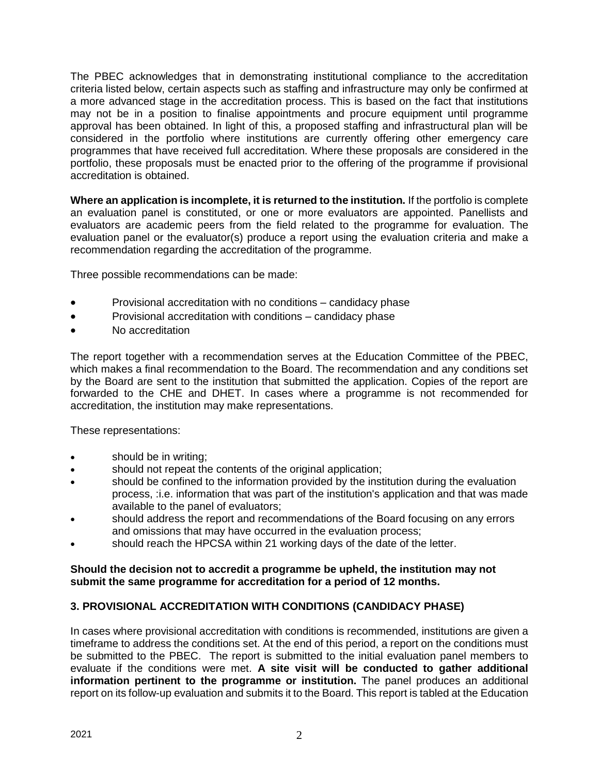The PBEC acknowledges that in demonstrating institutional compliance to the accreditation criteria listed below, certain aspects such as staffing and infrastructure may only be confirmed at a more advanced stage in the accreditation process. This is based on the fact that institutions may not be in a position to finalise appointments and procure equipment until programme approval has been obtained. In light of this, a proposed staffing and infrastructural plan will be considered in the portfolio where institutions are currently offering other emergency care programmes that have received full accreditation. Where these proposals are considered in the portfolio, these proposals must be enacted prior to the offering of the programme if provisional accreditation is obtained.

**Where an application is incomplete, it is returned to the institution.** If the portfolio is complete an evaluation panel is constituted, or one or more evaluators are appointed. Panellists and evaluators are academic peers from the field related to the programme for evaluation. The evaluation panel or the evaluator(s) produce a report using the evaluation criteria and make a recommendation regarding the accreditation of the programme.

Three possible recommendations can be made:

- Provisional accreditation with no conditions candidacy phase
- Provisional accreditation with conditions candidacy phase
- No accreditation

The report together with a recommendation serves at the Education Committee of the PBEC, which makes a final recommendation to the Board. The recommendation and any conditions set by the Board are sent to the institution that submitted the application. Copies of the report are forwarded to the CHE and DHET. In cases where a programme is not recommended for accreditation, the institution may make representations.

These representations:

- should be in writing;
- should not repeat the contents of the original application:
- should be confined to the information provided by the institution during the evaluation process, :i.e. information that was part of the institution's application and that was made available to the panel of evaluators;
- should address the report and recommendations of the Board focusing on any errors and omissions that may have occurred in the evaluation process;
- should reach the HPCSA within 21 working days of the date of the letter.

#### **Should the decision not to accredit a programme be upheld, the institution may not submit the same programme for accreditation for a period of 12 months.**

# **3. PROVISIONAL ACCREDITATION WITH CONDITIONS (CANDIDACY PHASE)**

In cases where provisional accreditation with conditions is recommended, institutions are given a timeframe to address the conditions set. At the end of this period, a report on the conditions must be submitted to the PBEC. The report is submitted to the initial evaluation panel members to evaluate if the conditions were met. **A site visit will be conducted to gather additional information pertinent to the programme or institution.** The panel produces an additional report on its follow-up evaluation and submits it to the Board. This report is tabled at the Education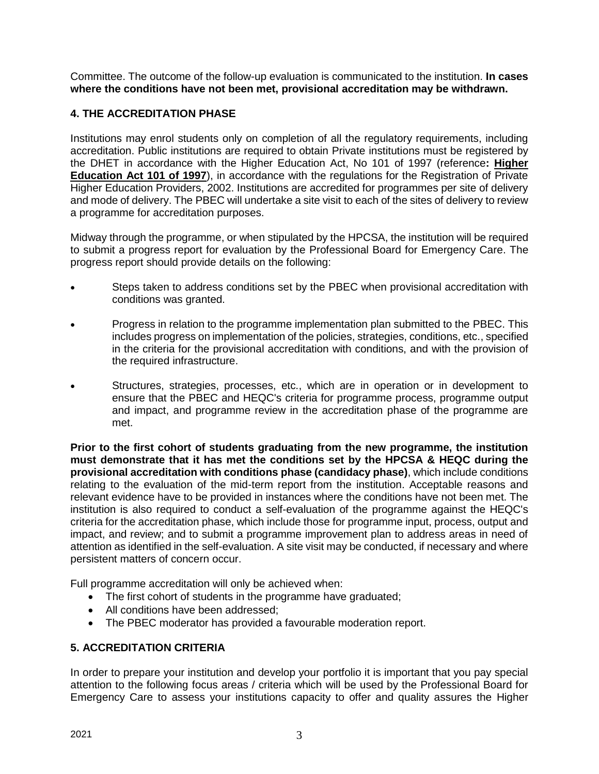Committee. The outcome of the follow-up evaluation is communicated to the institution. **In cases where the conditions have not been met, provisional accreditation may be withdrawn.**

# **4. THE ACCREDITATION PHASE**

Institutions may enrol students only on completion of all the regulatory requirements, including accreditation. Public institutions are required to obtain Private institutions must be registered by the DHET in accordance with the Higher Education Act, No 101 of 1997 (reference**: [Higher](http://www.che.ac.za/documents/d000004/)  [Education Act 101 of 1997](http://www.che.ac.za/documents/d000004/)**), in accordance with the regulations for the Registration of Private Higher Education Providers, 2002. Institutions are accredited for programmes per site of delivery and mode of delivery. The PBEC will undertake a site visit to each of the sites of delivery to review a programme for accreditation purposes.

Midway through the programme, or when stipulated by the HPCSA, the institution will be required to submit a progress report for evaluation by the Professional Board for Emergency Care. The progress report should provide details on the following:

- Steps taken to address conditions set by the PBEC when provisional accreditation with conditions was granted.
- Progress in relation to the programme implementation plan submitted to the PBEC. This includes progress on implementation of the policies, strategies, conditions, etc., specified in the criteria for the provisional accreditation with conditions, and with the provision of the required infrastructure.
- Structures, strategies, processes, etc., which are in operation or in development to ensure that the PBEC and HEQC's criteria for programme process, programme output and impact, and programme review in the accreditation phase of the programme are met.

**Prior to the first cohort of students graduating from the new programme, the institution must demonstrate that it has met the conditions set by the HPCSA & HEQC during the provisional accreditation with conditions phase (candidacy phase)**, which include conditions relating to the evaluation of the mid-term report from the institution. Acceptable reasons and relevant evidence have to be provided in instances where the conditions have not been met. The institution is also required to conduct a self-evaluation of the programme against the HEQC's criteria for the accreditation phase, which include those for programme input, process, output and impact, and review; and to submit a programme improvement plan to address areas in need of attention as identified in the self-evaluation. A site visit may be conducted, if necessary and where persistent matters of concern occur.

Full programme accreditation will only be achieved when:

- The first cohort of students in the programme have graduated;
- All conditions have been addressed;
- The PBEC moderator has provided a favourable moderation report.

# **5. ACCREDITATION CRITERIA**

In order to prepare your institution and develop your portfolio it is important that you pay special attention to the following focus areas / criteria which will be used by the Professional Board for Emergency Care to assess your institutions capacity to offer and quality assures the Higher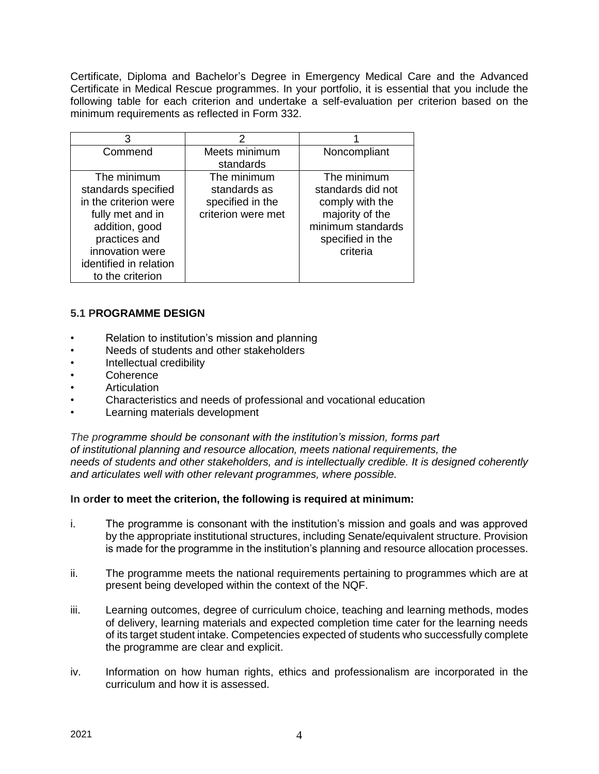Certificate, Diploma and Bachelor's Degree in Emergency Medical Care and the Advanced Certificate in Medical Rescue programmes. In your portfolio, it is essential that you include the following table for each criterion and undertake a self-evaluation per criterion based on the minimum requirements as reflected in Form 332.

| 3                                                                                                                                                                                   | 2                                                                     |                                                                                                                             |
|-------------------------------------------------------------------------------------------------------------------------------------------------------------------------------------|-----------------------------------------------------------------------|-----------------------------------------------------------------------------------------------------------------------------|
| Commend                                                                                                                                                                             | Meets minimum<br>standards                                            | Noncompliant                                                                                                                |
| The minimum<br>standards specified<br>in the criterion were<br>fully met and in<br>addition, good<br>practices and<br>innovation were<br>identified in relation<br>to the criterion | The minimum<br>standards as<br>specified in the<br>criterion were met | The minimum<br>standards did not<br>comply with the<br>majority of the<br>minimum standards<br>specified in the<br>criteria |

# **5.1 PROGRAMME DESIGN**

- Relation to institution's mission and planning
- Needs of students and other stakeholders
- Intellectual credibility
- Coherence
- **Articulation**
- Characteristics and needs of professional and vocational education
- Learning materials development

*The programme should be consonant with the institution's mission, forms part of institutional planning and resource allocation, meets national requirements, the needs of students and other stakeholders, and is intellectually credible. It is designed coherently and articulates well with other relevant programmes, where possible.*

- i. The programme is consonant with the institution's mission and goals and was approved by the appropriate institutional structures, including Senate/equivalent structure. Provision is made for the programme in the institution's planning and resource allocation processes.
- ii. The programme meets the national requirements pertaining to programmes which are at present being developed within the context of the NQF.
- iii. Learning outcomes, degree of curriculum choice, teaching and learning methods, modes of delivery, learning materials and expected completion time cater for the learning needs of its target student intake. Competencies expected of students who successfully complete the programme are clear and explicit.
- iv. Information on how human rights, ethics and professionalism are incorporated in the curriculum and how it is assessed.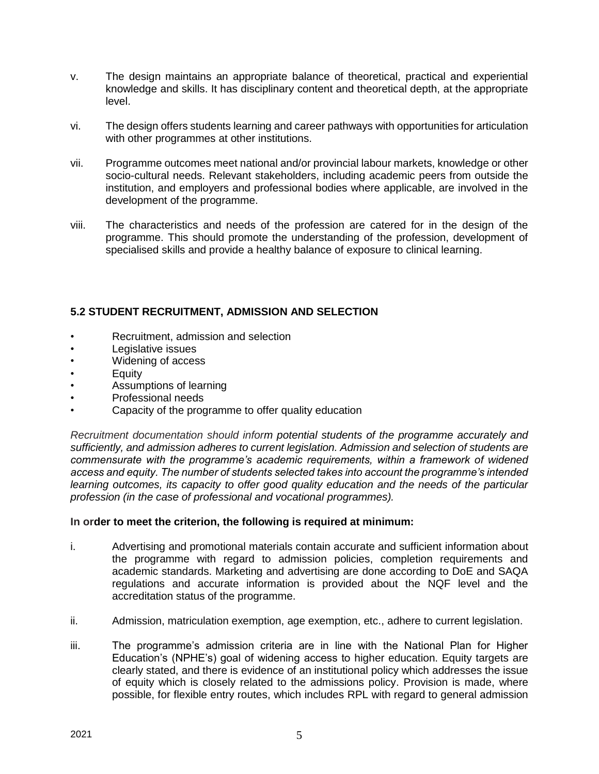- v. The design maintains an appropriate balance of theoretical, practical and experiential knowledge and skills. It has disciplinary content and theoretical depth, at the appropriate level.
- vi. The design offers students learning and career pathways with opportunities for articulation with other programmes at other institutions.
- vii. Programme outcomes meet national and/or provincial labour markets, knowledge or other socio-cultural needs. Relevant stakeholders, including academic peers from outside the institution, and employers and professional bodies where applicable, are involved in the development of the programme.
- viii. The characteristics and needs of the profession are catered for in the design of the programme. This should promote the understanding of the profession, development of specialised skills and provide a healthy balance of exposure to clinical learning.

# **5.2 STUDENT RECRUITMENT, ADMISSION AND SELECTION**

- Recruitment, admission and selection
- Legislative issues
- Widening of access
- Equity
- Assumptions of learning
- Professional needs
- Capacity of the programme to offer quality education

*Recruitment documentation should inform potential students of the programme accurately and sufficiently, and admission adheres to current legislation. Admission and selection of students are commensurate with the programme's academic requirements, within a framework of widened access and equity. The number of students selected takes into account the programme's intended learning outcomes, its capacity to offer good quality education and the needs of the particular profession (in the case of professional and vocational programmes).*

- i. Advertising and promotional materials contain accurate and sufficient information about the programme with regard to admission policies, completion requirements and academic standards. Marketing and advertising are done according to DoE and SAQA regulations and accurate information is provided about the NQF level and the accreditation status of the programme.
- ii. Admission, matriculation exemption, age exemption, etc., adhere to current legislation.
- iii. The programme's admission criteria are in line with the National Plan for Higher Education's (NPHE's) goal of widening access to higher education. Equity targets are clearly stated, and there is evidence of an institutional policy which addresses the issue of equity which is closely related to the admissions policy. Provision is made, where possible, for flexible entry routes, which includes RPL with regard to general admission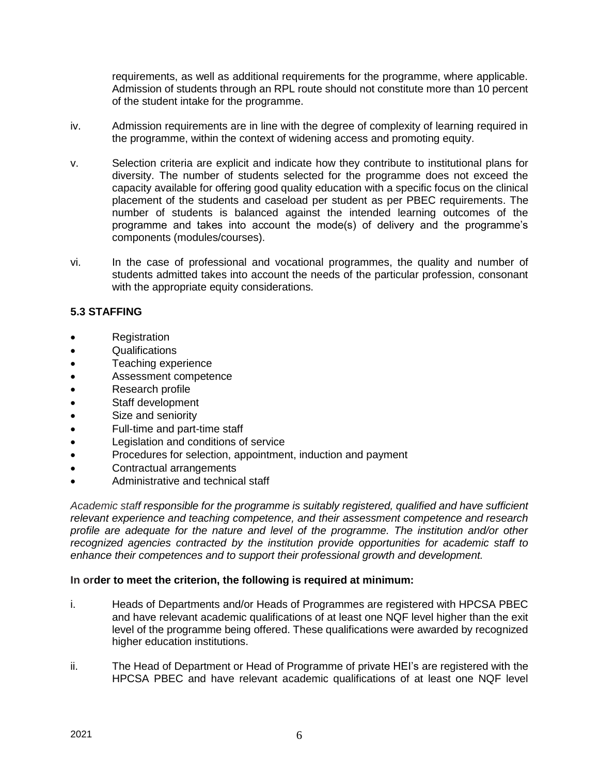requirements, as well as additional requirements for the programme, where applicable. Admission of students through an RPL route should not constitute more than 10 percent of the student intake for the programme.

- iv. Admission requirements are in line with the degree of complexity of learning required in the programme, within the context of widening access and promoting equity.
- v. Selection criteria are explicit and indicate how they contribute to institutional plans for diversity. The number of students selected for the programme does not exceed the capacity available for offering good quality education with a specific focus on the clinical placement of the students and caseload per student as per PBEC requirements. The number of students is balanced against the intended learning outcomes of the programme and takes into account the mode(s) of delivery and the programme's components (modules/courses).
- vi. In the case of professional and vocational programmes, the quality and number of students admitted takes into account the needs of the particular profession, consonant with the appropriate equity considerations.

# **5.3 STAFFING**

- Registration
- Qualifications
- Teaching experience
- Assessment competence
- Research profile
- Staff development
- Size and seniority
- Full-time and part-time staff
- Legislation and conditions of service
- Procedures for selection, appointment, induction and payment
- Contractual arrangements
- Administrative and technical staff

*Academic staff responsible for the programme is suitably registered, qualified and have sufficient relevant experience and teaching competence, and their assessment competence and research profile are adequate for the nature and level of the programme. The institution and/or other recognized agencies contracted by the institution provide opportunities for academic staff to enhance their competences and to support their professional growth and development.*

- i. Heads of Departments and/or Heads of Programmes are registered with HPCSA PBEC and have relevant academic qualifications of at least one NQF level higher than the exit level of the programme being offered. These qualifications were awarded by recognized higher education institutions.
- ii. The Head of Department or Head of Programme of private HEI's are registered with the HPCSA PBEC and have relevant academic qualifications of at least one NQF level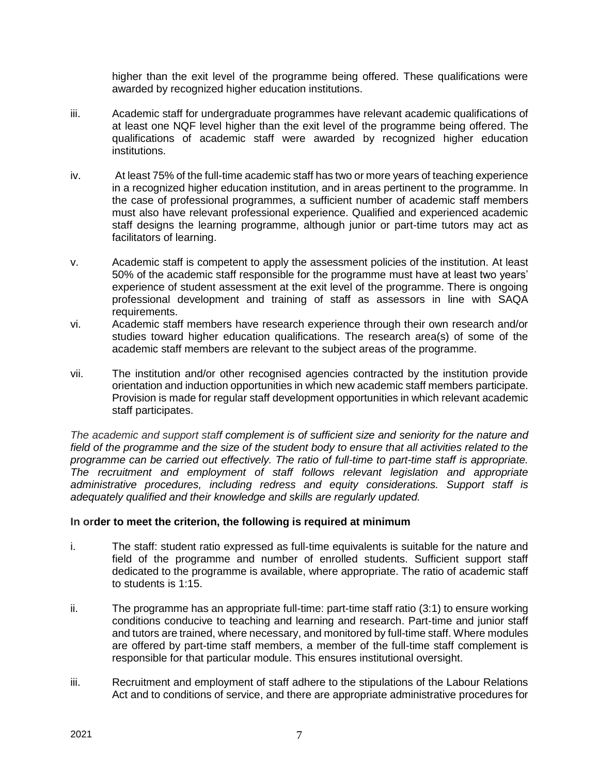higher than the exit level of the programme being offered. These qualifications were awarded by recognized higher education institutions.

- iii. Academic staff for undergraduate programmes have relevant academic qualifications of at least one NQF level higher than the exit level of the programme being offered. The qualifications of academic staff were awarded by recognized higher education institutions.
- iv. At least 75% of the full-time academic staff has two or more years of teaching experience in a recognized higher education institution, and in areas pertinent to the programme. In the case of professional programmes, a sufficient number of academic staff members must also have relevant professional experience. Qualified and experienced academic staff designs the learning programme, although junior or part-time tutors may act as facilitators of learning.
- v. Academic staff is competent to apply the assessment policies of the institution. At least 50% of the academic staff responsible for the programme must have at least two years' experience of student assessment at the exit level of the programme. There is ongoing professional development and training of staff as assessors in line with SAQA requirements.
- vi. Academic staff members have research experience through their own research and/or studies toward higher education qualifications. The research area(s) of some of the academic staff members are relevant to the subject areas of the programme.
- vii. The institution and/or other recognised agencies contracted by the institution provide orientation and induction opportunities in which new academic staff members participate. Provision is made for regular staff development opportunities in which relevant academic staff participates.

*The academic and support staff complement is of sufficient size and seniority for the nature and field of the programme and the size of the student body to ensure that all activities related to the programme can be carried out effectively. The ratio of full-time to part-time staff is appropriate. The recruitment and employment of staff follows relevant legislation and appropriate administrative procedures, including redress and equity considerations. Support staff is adequately qualified and their knowledge and skills are regularly updated.*

- i. The staff: student ratio expressed as full-time equivalents is suitable for the nature and field of the programme and number of enrolled students. Sufficient support staff dedicated to the programme is available, where appropriate. The ratio of academic staff to students is 1:15.
- ii. The programme has an appropriate full-time: part-time staff ratio (3:1) to ensure working conditions conducive to teaching and learning and research. Part-time and junior staff and tutors are trained, where necessary, and monitored by full-time staff. Where modules are offered by part-time staff members, a member of the full-time staff complement is responsible for that particular module. This ensures institutional oversight.
- iii. Recruitment and employment of staff adhere to the stipulations of the Labour Relations Act and to conditions of service, and there are appropriate administrative procedures for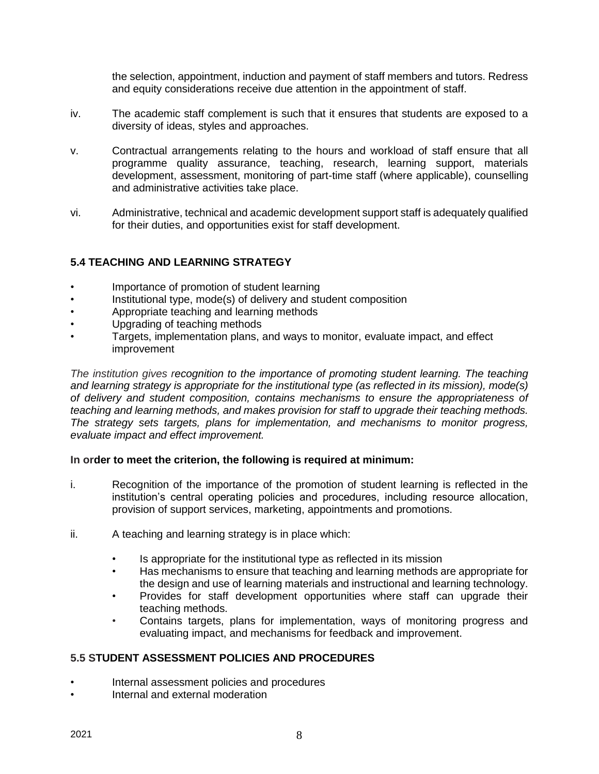the selection, appointment, induction and payment of staff members and tutors. Redress and equity considerations receive due attention in the appointment of staff.

- iv. The academic staff complement is such that it ensures that students are exposed to a diversity of ideas, styles and approaches.
- v. Contractual arrangements relating to the hours and workload of staff ensure that all programme quality assurance, teaching, research, learning support, materials development, assessment, monitoring of part-time staff (where applicable), counselling and administrative activities take place.
- vi. Administrative, technical and academic development support staff is adequately qualified for their duties, and opportunities exist for staff development.

### **5.4 TEACHING AND LEARNING STRATEGY**

- Importance of promotion of student learning
- Institutional type, mode(s) of delivery and student composition
- Appropriate teaching and learning methods
- Upgrading of teaching methods
- Targets, implementation plans, and ways to monitor, evaluate impact, and effect improvement

*The institution gives recognition to the importance of promoting student learning. The teaching and learning strategy is appropriate for the institutional type (as reflected in its mission), mode(s) of delivery and student composition, contains mechanisms to ensure the appropriateness of teaching and learning methods, and makes provision for staff to upgrade their teaching methods. The strategy sets targets, plans for implementation, and mechanisms to monitor progress, evaluate impact and effect improvement.*

### **In order to meet the criterion, the following is required at minimum:**

- i. Recognition of the importance of the promotion of student learning is reflected in the institution's central operating policies and procedures, including resource allocation, provision of support services, marketing, appointments and promotions.
- ii. A teaching and learning strategy is in place which:
	- Is appropriate for the institutional type as reflected in its mission
	- Has mechanisms to ensure that teaching and learning methods are appropriate for the design and use of learning materials and instructional and learning technology.
	- Provides for staff development opportunities where staff can upgrade their teaching methods.
	- Contains targets, plans for implementation, ways of monitoring progress and evaluating impact, and mechanisms for feedback and improvement.

### **5.5 STUDENT ASSESSMENT POLICIES AND PROCEDURES**

- Internal assessment policies and procedures
- Internal and external moderation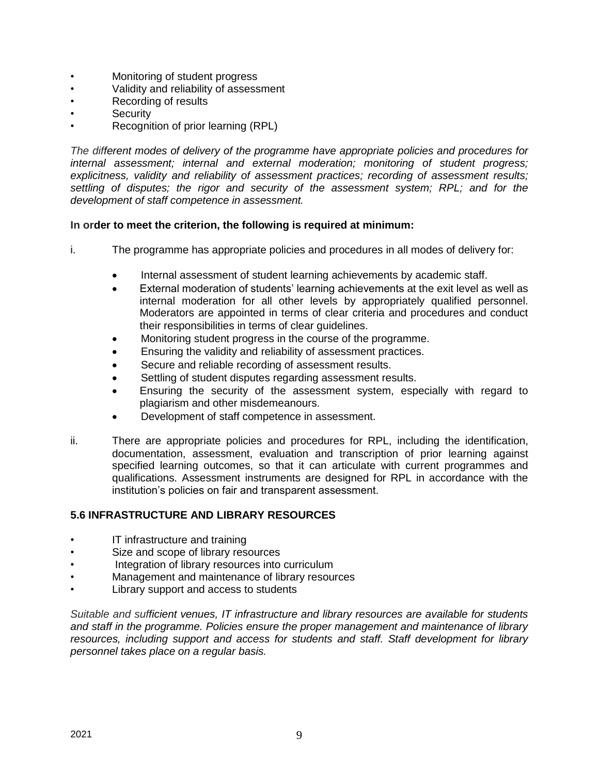- Monitoring of student progress
- Validity and reliability of assessment
- Recording of results
- **Security**
- Recognition of prior learning (RPL)

*The different modes of delivery of the programme have appropriate policies and procedures for internal assessment; internal and external moderation; monitoring of student progress; explicitness, validity and reliability of assessment practices; recording of assessment results; settling of disputes; the rigor and security of the assessment system; RPL; and for the development of staff competence in assessment.*

### **In order to meet the criterion, the following is required at minimum:**

- i. The programme has appropriate policies and procedures in all modes of delivery for:
	- Internal assessment of student learning achievements by academic staff.
	- External moderation of students' learning achievements at the exit level as well as internal moderation for all other levels by appropriately qualified personnel. Moderators are appointed in terms of clear criteria and procedures and conduct their responsibilities in terms of clear guidelines.
	- Monitoring student progress in the course of the programme.
	- Ensuring the validity and reliability of assessment practices.
	- Secure and reliable recording of assessment results.
	- Settling of student disputes regarding assessment results.
	- Ensuring the security of the assessment system, especially with regard to plagiarism and other misdemeanours.
	- Development of staff competence in assessment.
- ii. There are appropriate policies and procedures for RPL, including the identification, documentation, assessment, evaluation and transcription of prior learning against specified learning outcomes, so that it can articulate with current programmes and qualifications. Assessment instruments are designed for RPL in accordance with the institution's policies on fair and transparent assessment.

### **5.6 INFRASTRUCTURE AND LIBRARY RESOURCES**

- IT infrastructure and training
- Size and scope of library resources
- Integration of library resources into curriculum
- Management and maintenance of library resources
- Library support and access to students

*Suitable and sufficient venues, IT infrastructure and library resources are available for students and staff in the programme. Policies ensure the proper management and maintenance of library resources, including support and access for students and staff. Staff development for library personnel takes place on a regular basis.*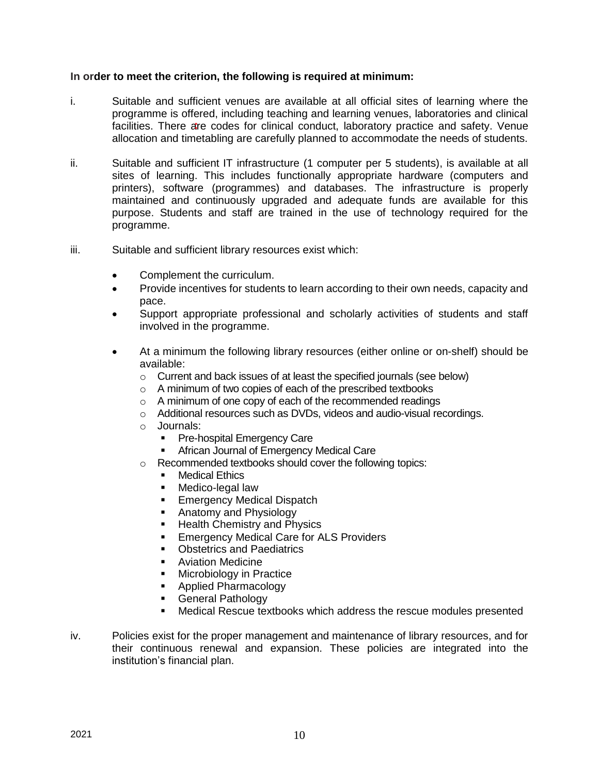- i. Suitable and sufficient venues are available at all official sites of learning where the programme is offered, including teaching and learning venues, laboratories and clinical facilities. There are codes for clinical conduct, laboratory practice and safety. Venue allocation and timetabling are carefully planned to accommodate the needs of students.
- ii. Suitable and sufficient IT infrastructure (1 computer per 5 students), is available at all sites of learning. This includes functionally appropriate hardware (computers and printers), software (programmes) and databases. The infrastructure is properly maintained and continuously upgraded and adequate funds are available for this purpose. Students and staff are trained in the use of technology required for the programme.
- iii. Suitable and sufficient library resources exist which:
	- Complement the curriculum.
	- Provide incentives for students to learn according to their own needs, capacity and pace.
	- Support appropriate professional and scholarly activities of students and staff involved in the programme.
	- At a minimum the following library resources (either online or on-shelf) should be available:
		- o Current and back issues of at least the specified journals (see below)
		- o A minimum of two copies of each of the prescribed textbooks
		- o A minimum of one copy of each of the recommended readings
		- o Additional resources such as DVDs, videos and audio-visual recordings.
		- o Journals:
			- Pre-hospital Emergency Care
			- African Journal of Emergency Medical Care
		- o Recommended textbooks should cover the following topics:
			- Medical Ethics
			- **E** Medico-legal law
			- **Emergency Medical Dispatch**
			- Anatomy and Physiology
			- Health Chemistry and Physics
			- **Emergency Medical Care for ALS Providers**
			- Obstetrics and Paediatrics
			- **E** Aviation Medicine
			- Microbiology in Practice
			- Applied Pharmacology
			- **•** General Pathology
			- Medical Rescue textbooks which address the rescue modules presented
- iv. Policies exist for the proper management and maintenance of library resources, and for their continuous renewal and expansion. These policies are integrated into the institution's financial plan.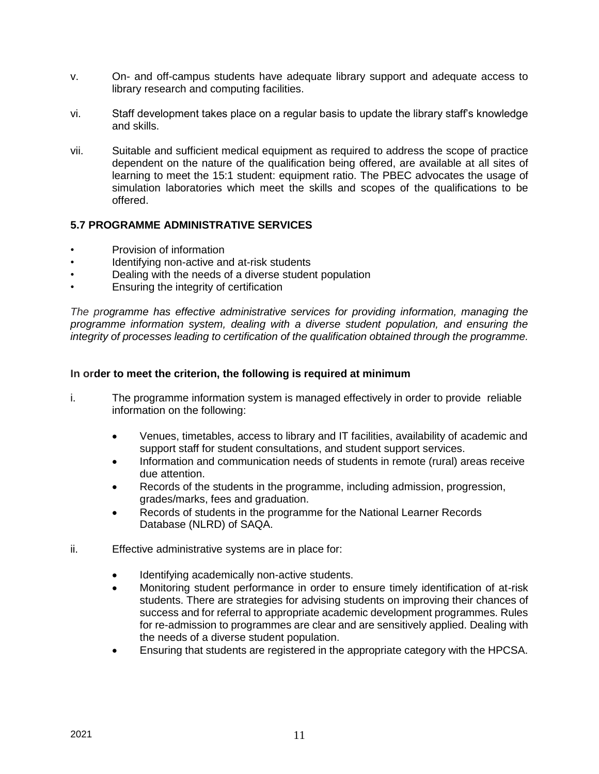- v. On- and off-campus students have adequate library support and adequate access to library research and computing facilities.
- vi. Staff development takes place on a regular basis to update the library staff's knowledge and skills.
- vii. Suitable and sufficient medical equipment as required to address the scope of practice dependent on the nature of the qualification being offered, are available at all sites of learning to meet the 15:1 student: equipment ratio. The PBEC advocates the usage of simulation laboratories which meet the skills and scopes of the qualifications to be offered.

### **5.7 PROGRAMME ADMINISTRATIVE SERVICES**

- Provision of information
- Identifying non-active and at-risk students
- Dealing with the needs of a diverse student population
- Ensuring the integrity of certification

*The programme has effective administrative services for providing information, managing the programme information system, dealing with a diverse student population, and ensuring the integrity of processes leading to certification of the qualification obtained through the programme.*

- i. The programme information system is managed effectively in order to provide reliable information on the following:
	- Venues, timetables, access to library and IT facilities, availability of academic and support staff for student consultations, and student support services.
	- Information and communication needs of students in remote (rural) areas receive due attention.
	- Records of the students in the programme, including admission, progression, grades/marks, fees and graduation.
	- Records of students in the programme for the National Learner Records Database (NLRD) of SAQA.
- ii. Effective administrative systems are in place for:
	- Identifying academically non-active students.
	- Monitoring student performance in order to ensure timely identification of at-risk students. There are strategies for advising students on improving their chances of success and for referral to appropriate academic development programmes. Rules for re-admission to programmes are clear and are sensitively applied. Dealing with the needs of a diverse student population.
	- Ensuring that students are registered in the appropriate category with the HPCSA.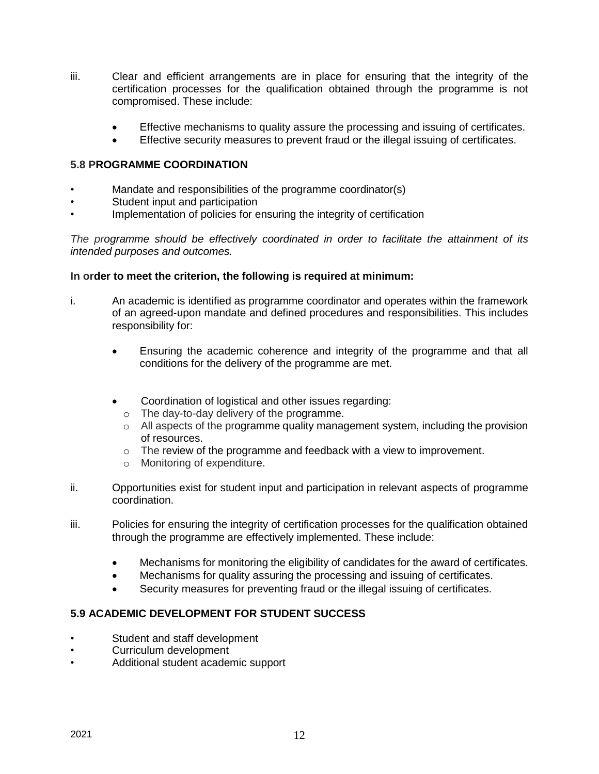- iii. Clear and efficient arrangements are in place for ensuring that the integrity of the certification processes for the qualification obtained through the programme is not compromised. These include:
	- Effective mechanisms to quality assure the processing and issuing of certificates.
	- Effective security measures to prevent fraud or the illegal issuing of certificates.

### **5.8 PROGRAMME COORDINATION**

- Mandate and responsibilities of the programme coordinator(s)
- Student input and participation
- Implementation of policies for ensuring the integrity of certification

*The programme should be effectively coordinated in order to facilitate the attainment of its intended purposes and outcomes.*

#### **In order to meet the criterion, the following is required at minimum:**

- i. An academic is identified as programme coordinator and operates within the framework of an agreed-upon mandate and defined procedures and responsibilities. This includes responsibility for:
	- Ensuring the academic coherence and integrity of the programme and that all conditions for the delivery of the programme are met.
	- Coordination of logistical and other issues regarding:
		- o The day-to-day delivery of the programme.
		- o All aspects of the programme quality management system, including the provision of resources.
		- o The review of the programme and feedback with a view to improvement.
		- o Monitoring of expenditure.
- ii. Opportunities exist for student input and participation in relevant aspects of programme coordination.
- iii. Policies for ensuring the integrity of certification processes for the qualification obtained through the programme are effectively implemented. These include:
	- Mechanisms for monitoring the eligibility of candidates for the award of certificates.
	- Mechanisms for quality assuring the processing and issuing of certificates.
	- Security measures for preventing fraud or the illegal issuing of certificates.

# **5.9 ACADEMIC DEVELOPMENT FOR STUDENT SUCCESS**

- Student and staff development
- Curriculum development
- Additional student academic support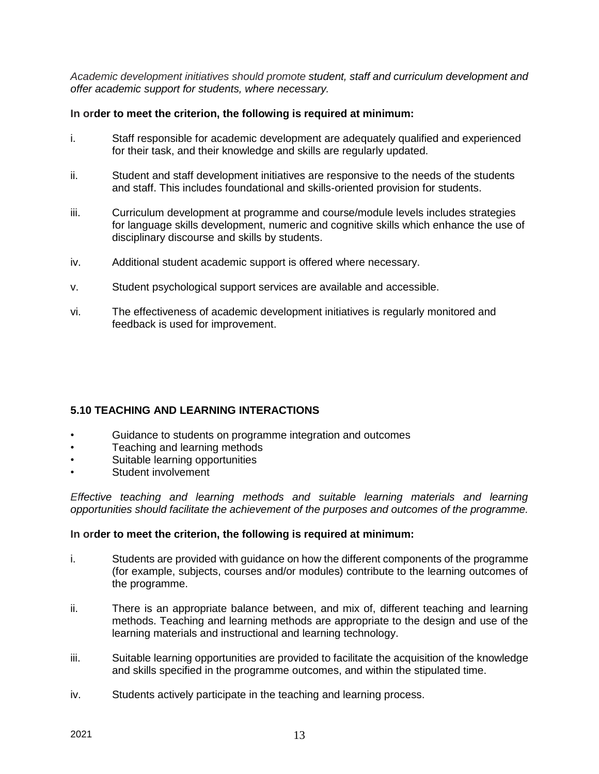*Academic development initiatives should promote student, staff and curriculum development and offer academic support for students, where necessary.*

### **In order to meet the criterion, the following is required at minimum:**

- i. Staff responsible for academic development are adequately qualified and experienced for their task, and their knowledge and skills are regularly updated.
- ii. Student and staff development initiatives are responsive to the needs of the students and staff. This includes foundational and skills-oriented provision for students.
- iii. Curriculum development at programme and course/module levels includes strategies for language skills development, numeric and cognitive skills which enhance the use of disciplinary discourse and skills by students.
- iv. Additional student academic support is offered where necessary.
- v. Student psychological support services are available and accessible.
- vi. The effectiveness of academic development initiatives is regularly monitored and feedback is used for improvement.

# **5.10 TEACHING AND LEARNING INTERACTIONS**

- Guidance to students on programme integration and outcomes
- Teaching and learning methods
- Suitable learning opportunities
- Student involvement

*Effective teaching and learning methods and suitable learning materials and learning opportunities should facilitate the achievement of the purposes and outcomes of the programme.*

### **In order to meet the criterion, the following is required at minimum:**

- i. Students are provided with guidance on how the different components of the programme (for example, subjects, courses and/or modules) contribute to the learning outcomes of the programme.
- ii. There is an appropriate balance between, and mix of, different teaching and learning methods. Teaching and learning methods are appropriate to the design and use of the learning materials and instructional and learning technology.
- iii. Suitable learning opportunities are provided to facilitate the acquisition of the knowledge and skills specified in the programme outcomes, and within the stipulated time.
- iv. Students actively participate in the teaching and learning process.

 $2021$  13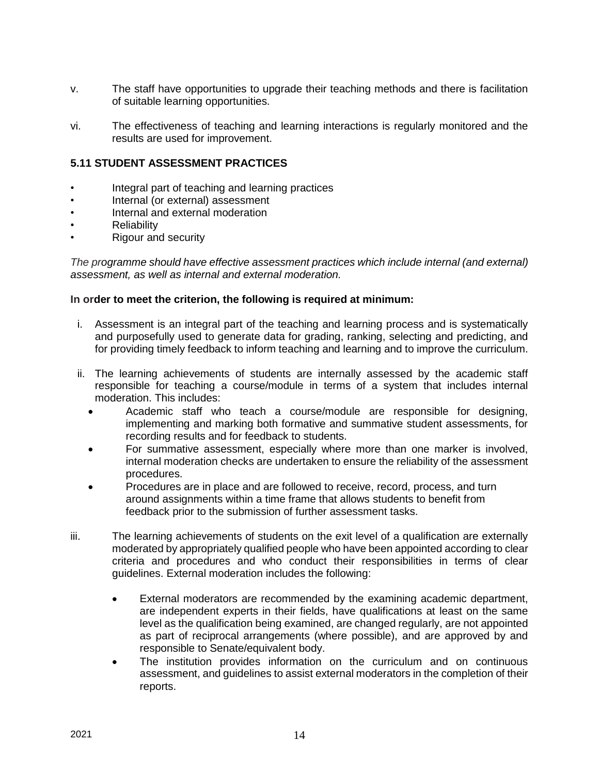- v. The staff have opportunities to upgrade their teaching methods and there is facilitation of suitable learning opportunities.
- vi. The effectiveness of teaching and learning interactions is regularly monitored and the results are used for improvement.

# **5.11 STUDENT ASSESSMENT PRACTICES**

- Integral part of teaching and learning practices
- Internal (or external) assessment
- Internal and external moderation
- **Reliability**
- Rigour and security

*The programme should have effective assessment practices which include internal (and external) assessment, as well as internal and external moderation.*

- i. Assessment is an integral part of the teaching and learning process and is systematically and purposefully used to generate data for grading, ranking, selecting and predicting, and for providing timely feedback to inform teaching and learning and to improve the curriculum.
- ii. The learning achievements of students are internally assessed by the academic staff responsible for teaching a course/module in terms of a system that includes internal moderation. This includes:
	- Academic staff who teach a course/module are responsible for designing, implementing and marking both formative and summative student assessments, for recording results and for feedback to students.
	- For summative assessment, especially where more than one marker is involved, internal moderation checks are undertaken to ensure the reliability of the assessment procedures.
	- Procedures are in place and are followed to receive, record, process, and turn around assignments within a time frame that allows students to benefit from feedback prior to the submission of further assessment tasks.
- iii. The learning achievements of students on the exit level of a qualification are externally moderated by appropriately qualified people who have been appointed according to clear criteria and procedures and who conduct their responsibilities in terms of clear guidelines. External moderation includes the following:
	- External moderators are recommended by the examining academic department, are independent experts in their fields, have qualifications at least on the same level as the qualification being examined, are changed regularly, are not appointed as part of reciprocal arrangements (where possible), and are approved by and responsible to Senate/equivalent body.
	- The institution provides information on the curriculum and on continuous assessment, and guidelines to assist external moderators in the completion of their reports.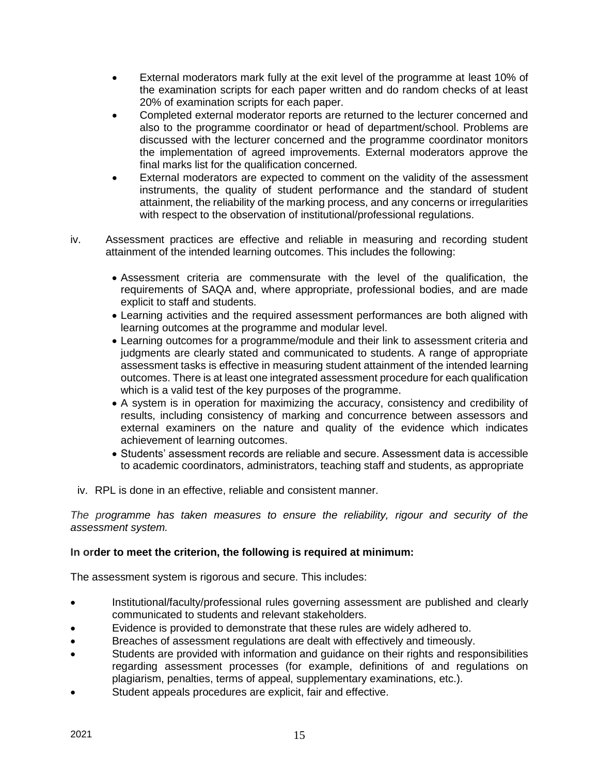- External moderators mark fully at the exit level of the programme at least 10% of the examination scripts for each paper written and do random checks of at least 20% of examination scripts for each paper.
- Completed external moderator reports are returned to the lecturer concerned and also to the programme coordinator or head of department/school. Problems are discussed with the lecturer concerned and the programme coordinator monitors the implementation of agreed improvements. External moderators approve the final marks list for the qualification concerned.
- External moderators are expected to comment on the validity of the assessment instruments, the quality of student performance and the standard of student attainment, the reliability of the marking process, and any concerns or irregularities with respect to the observation of institutional/professional regulations.
- iv. Assessment practices are effective and reliable in measuring and recording student attainment of the intended learning outcomes. This includes the following:
	- Assessment criteria are commensurate with the level of the qualification, the requirements of SAQA and, where appropriate, professional bodies, and are made explicit to staff and students.
	- Learning activities and the required assessment performances are both aligned with learning outcomes at the programme and modular level.
	- Learning outcomes for a programme/module and their link to assessment criteria and judgments are clearly stated and communicated to students. A range of appropriate assessment tasks is effective in measuring student attainment of the intended learning outcomes. There is at least one integrated assessment procedure for each qualification which is a valid test of the key purposes of the programme.
	- A system is in operation for maximizing the accuracy, consistency and credibility of results, including consistency of marking and concurrence between assessors and external examiners on the nature and quality of the evidence which indicates achievement of learning outcomes.
	- Students' assessment records are reliable and secure. Assessment data is accessible to academic coordinators, administrators, teaching staff and students, as appropriate
	- iv. RPL is done in an effective, reliable and consistent manner.

*The programme has taken measures to ensure the reliability, rigour and security of the assessment system.*

### **In order to meet the criterion, the following is required at minimum:**

The assessment system is rigorous and secure. This includes:

- Institutional/faculty/professional rules governing assessment are published and clearly communicated to students and relevant stakeholders.
- Evidence is provided to demonstrate that these rules are widely adhered to.
- Breaches of assessment regulations are dealt with effectively and timeously.
- Students are provided with information and guidance on their rights and responsibilities regarding assessment processes (for example, definitions of and regulations on plagiarism, penalties, terms of appeal, supplementary examinations, etc.).
- Student appeals procedures are explicit, fair and effective.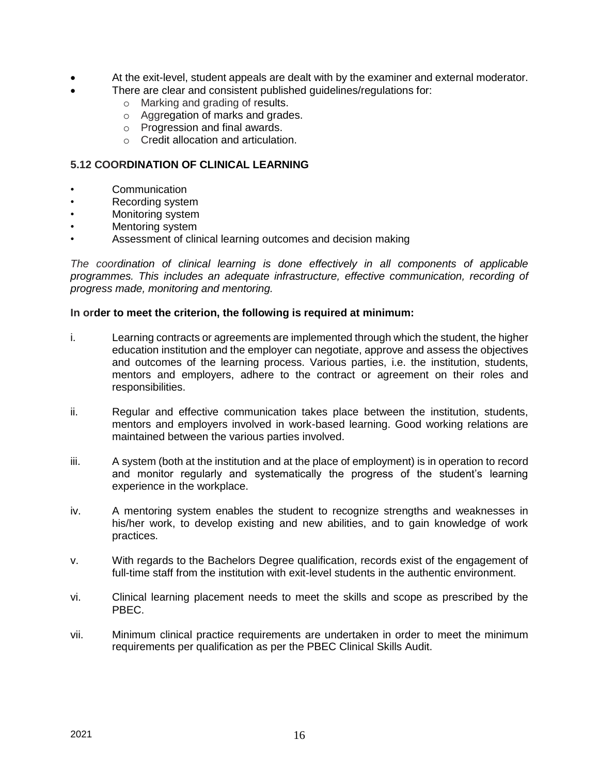- At the exit-level, student appeals are dealt with by the examiner and external moderator.
	- There are clear and consistent published guidelines/regulations for:
		- o Marking and grading of results.
		- o Aggregation of marks and grades.
		- o Progression and final awards.
		- o Credit allocation and articulation.

#### **5.12 COORDINATION OF CLINICAL LEARNING**

- Communication
- Recording system
- Monitoring system
- Mentoring system
- Assessment of clinical learning outcomes and decision making

*The coordination of clinical learning is done effectively in all components of applicable programmes. This includes an adequate infrastructure, effective communication, recording of progress made, monitoring and mentoring.*

- i. Learning contracts or agreements are implemented through which the student, the higher education institution and the employer can negotiate, approve and assess the objectives and outcomes of the learning process. Various parties, i.e. the institution, students, mentors and employers, adhere to the contract or agreement on their roles and responsibilities.
- ii. Regular and effective communication takes place between the institution, students, mentors and employers involved in work-based learning. Good working relations are maintained between the various parties involved.
- iii. A system (both at the institution and at the place of employment) is in operation to record and monitor regularly and systematically the progress of the student's learning experience in the workplace.
- iv. A mentoring system enables the student to recognize strengths and weaknesses in his/her work, to develop existing and new abilities, and to gain knowledge of work practices.
- v. With regards to the Bachelors Degree qualification, records exist of the engagement of full-time staff from the institution with exit-level students in the authentic environment.
- vi. Clinical learning placement needs to meet the skills and scope as prescribed by the PBEC.
- vii. Minimum clinical practice requirements are undertaken in order to meet the minimum requirements per qualification as per the PBEC Clinical Skills Audit.